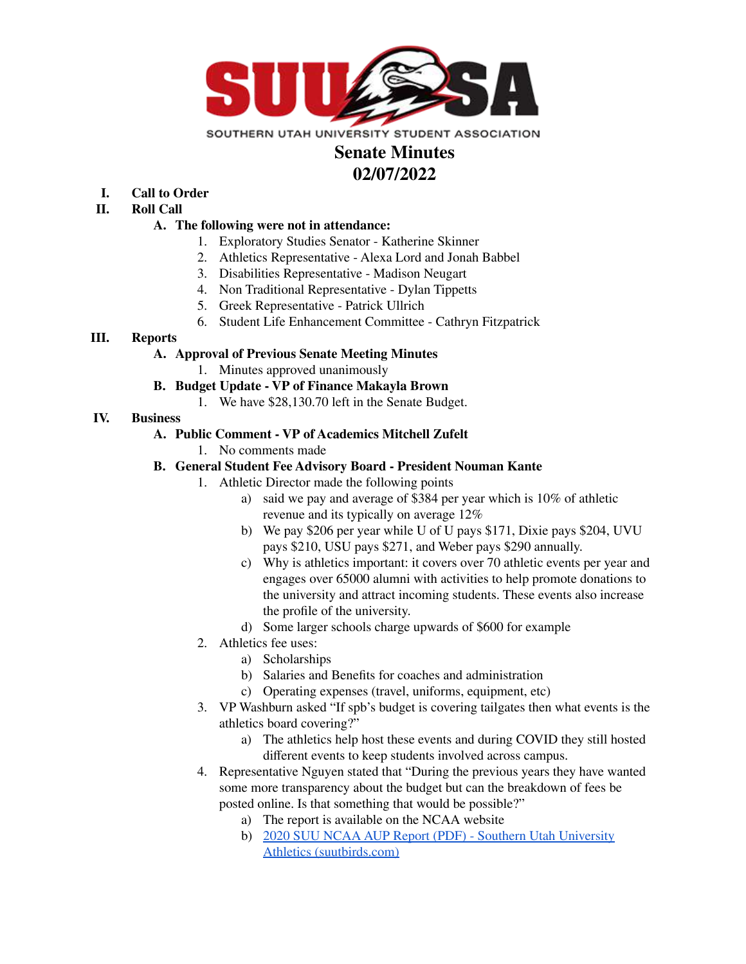

# **Senate Minutes 02/07/2022**

- **I. Call to Order**
- **II. Roll Call**

## **A. The following were not in attendance:**

- 1. Exploratory Studies Senator Katherine Skinner
- 2. Athletics Representative Alexa Lord and Jonah Babbel
- 3. Disabilities Representative Madison Neugart
- 4. Non Traditional Representative Dylan Tippetts
- 5. Greek Representative Patrick Ullrich
- 6. Student Life Enhancement Committee Cathryn Fitzpatrick

## **III. Reports**

## **A. Approval of Previous Senate Meeting Minutes**

1. Minutes approved unanimously

## **B. Budget Update - VP of Finance Makayla Brown**

1. We have \$28,130.70 left in the Senate Budget.

## **IV. Business**

## **A. Public Comment - VP of Academics Mitchell Zufelt**

1. No comments made

## **B. General Student Fee Advisory Board - President Nouman Kante**

- 1. Athletic Director made the following points
	- a) said we pay and average of \$384 per year which is 10% of athletic revenue and its typically on average 12%
	- b) We pay \$206 per year while U of U pays \$171, Dixie pays \$204, UVU pays \$210, USU pays \$271, and Weber pays \$290 annually.
	- c) Why is athletics important: it covers over 70 athletic events per year and engages over 65000 alumni with activities to help promote donations to the university and attract incoming students. These events also increase the profile of the university.
	- d) Some larger schools charge upwards of \$600 for example
- 2. Athletics fee uses:
	- a) Scholarships
	- b) Salaries and Benefits for coaches and administration
	- c) Operating expenses (travel, uniforms, equipment, etc)
- 3. VP Washburn asked "If spb's budget is covering tailgates then what events is the athletics board covering?"
	- a) The athletics help host these events and during COVID they still hosted different events to keep students involved across campus.
- 4. Representative Nguyen stated that "During the previous years they have wanted some more transparency about the budget but can the breakdown of fees be posted online. Is that something that would be possible?"
	- a) The report is available on the NCAA website
	- b) 2020 SUU NCAA AUP Report (PDF) Southern Utah [University](https://suutbirds.com/documents/2020/11/17//2020_SUU_NCAA_AUP_Report.pdf?id=10520) Athletics [\(suutbirds.com\)](https://suutbirds.com/documents/2020/11/17//2020_SUU_NCAA_AUP_Report.pdf?id=10520)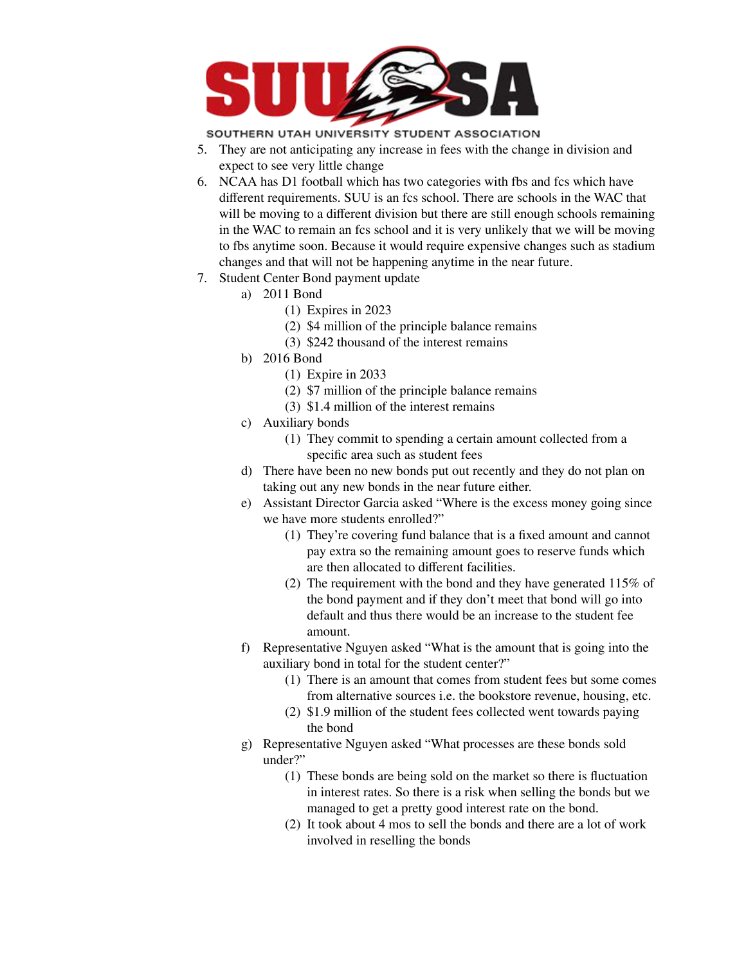

SOUTHERN UTAH UNIVERSITY STUDENT ASSOCIATION

- 5. They are not anticipating any increase in fees with the change in division and expect to see very little change
- 6. NCAA has D1 football which has two categories with fbs and fcs which have different requirements. SUU is an fcs school. There are schools in the WAC that will be moving to a different division but there are still enough schools remaining in the WAC to remain an fcs school and it is very unlikely that we will be moving to fbs anytime soon. Because it would require expensive changes such as stadium changes and that will not be happening anytime in the near future.
- 7. Student Center Bond payment update
	- a) 2011 Bond
		- (1) Expires in 2023
		- (2) \$4 million of the principle balance remains
		- (3) \$242 thousand of the interest remains
	- b) 2016 Bond
		- (1) Expire in 2033
		- (2) \$7 million of the principle balance remains
		- (3) \$1.4 million of the interest remains
	- c) Auxiliary bonds
		- (1) They commit to spending a certain amount collected from a specific area such as student fees
	- d) There have been no new bonds put out recently and they do not plan on taking out any new bonds in the near future either.
	- e) Assistant Director Garcia asked "Where is the excess money going since we have more students enrolled?"
		- (1) They're covering fund balance that is a fixed amount and cannot pay extra so the remaining amount goes to reserve funds which are then allocated to different facilities.
		- (2) The requirement with the bond and they have generated 115% of the bond payment and if they don't meet that bond will go into default and thus there would be an increase to the student fee amount.
	- f) Representative Nguyen asked "What is the amount that is going into the auxiliary bond in total for the student center?"
		- (1) There is an amount that comes from student fees but some comes from alternative sources i.e. the bookstore revenue, housing, etc.
		- (2) \$1.9 million of the student fees collected went towards paying the bond
	- g) Representative Nguyen asked "What processes are these bonds sold under?"
		- (1) These bonds are being sold on the market so there is fluctuation in interest rates. So there is a risk when selling the bonds but we managed to get a pretty good interest rate on the bond.
		- (2) It took about 4 mos to sell the bonds and there are a lot of work involved in reselling the bonds